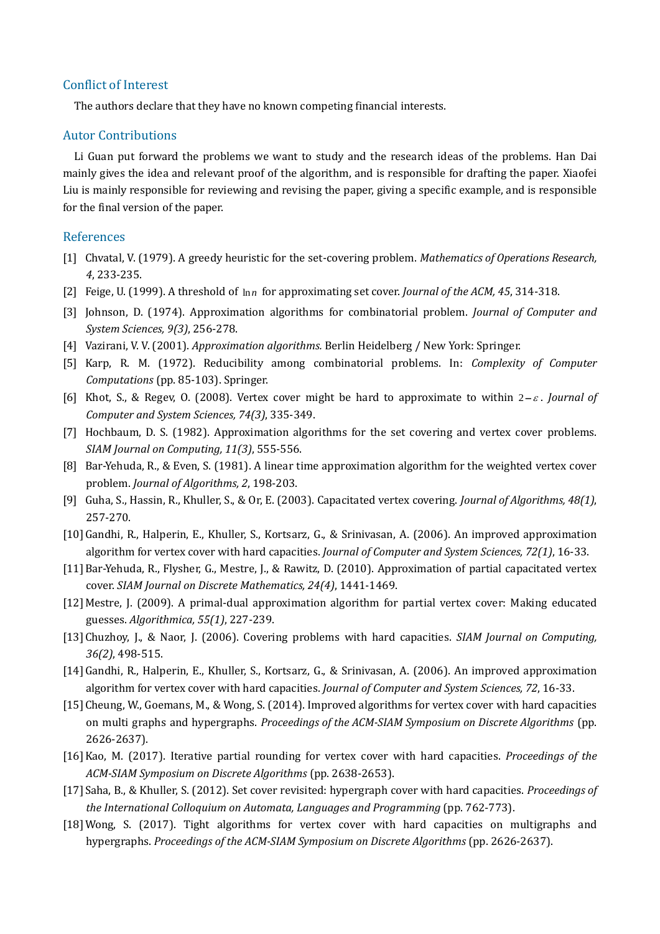## Conflict of Interest

The authors declare that they have no known competing financial interests.

## Autor Contributions

Li Guan put forward the problems we want to study and the research ideas of the problems. Han Dai mainly gives the idea and relevant proof of the algorithm, and is responsible for drafting the paper. Xiaofei Liu is mainly responsible for reviewing and revising the paper, giving a specific example, and is responsible for the final version of the paper.

## References

- [1] Chvatal, V. (1979). A greedy heuristic for the set-covering problem. *Mathematics of Operations Research, 4*, 233-235.
- [2] Feige, U. (1999). A threshold of ln*<sup>n</sup>* for approximating set cover. *Journal of the ACM, 45*, 314-318.
- [3] Johnson, D. (1974). Approximation algorithms for combinatorial problem. *Journal of Computer and System Sciences, 9(3)*, 256-278.
- [4] Vazirani, V. V. (2001). *Approximation algorithms.* Berlin Heidelberg / New York: Springer.
- [5] Karp, R. M. (1972). Reducibility among combinatorial problems. In: *Complexity of Computer Computations* (pp. 85-103). Springer.
- [6] Khot, S., & Regev, O. (2008). Vertex cover might be hard to approximate to within  $2-\varepsilon$ . *Journal of Computer and System Sciences, 74(3)*, 335-349.
- [7] Hochbaum, D. S. (1982). Approximation algorithms for the set covering and vertex cover problems. *SIAM Journal on Computing, 11(3)*, 555-556.
- [8] Bar-Yehuda, R., & Even, S. (1981). A linear time approximation algorithm for the weighted vertex cover problem. *Journal of Algorithms, 2*, 198-203.
- [9] Guha, S., Hassin, R., Khuller, S., & Or, E. (2003). Capacitated vertex covering. *Journal of Algorithms, 48(1)*, 257-270.
- [10]Gandhi, R., Halperin, E., Khuller, S., Kortsarz, G., & Srinivasan, A. (2006). An improved approximation algorithm for vertex cover with hard capacities. *Journal of Computer and System Sciences, 72(1)*, 16-33.
- [11]Bar-Yehuda, R., Flysher, G., Mestre, J., & Rawitz, D. (2010). Approximation of partial capacitated vertex cover. *SIAM Journal on Discrete Mathematics, 24(4)*, 1441-1469.
- [12] Mestre, J. (2009). A primal-dual approximation algorithm for partial vertex cover: Making educated guesses. *Algorithmica, 55(1)*, 227-239.
- [13]Chuzhoy, J., & Naor, J. (2006). Covering problems with hard capacities. *SIAM Journal on Computing, 36(2)*, 498-515.
- [14]Gandhi, R., Halperin, E., Khuller, S., Kortsarz, G., & Srinivasan, A. (2006). An improved approximation algorithm for vertex cover with hard capacities. *Journal of Computer and System Sciences, 72*, 16-33.
- [15] Cheung, W., Goemans, M., & Wong, S. (2014). Improved algorithms for vertex cover with hard capacities on multi graphs and hypergraphs. *Proceedings of the ACM-SIAM Symposium on Discrete Algorithms* (pp. 2626-2637).
- [16]Kao, M. (2017). Iterative partial rounding for vertex cover with hard capacities. *Proceedings of the ACM-SIAM Symposium on Discrete Algorithms* (pp. 2638-2653).
- [17]Saha, B., & Khuller, S. (2012). Set cover revisited: hypergraph cover with hard capacities. *Proceedings of the International Colloquium on Automata, Languages and Programming* (pp. 762-773).
- [18]Wong, S. (2017). Tight algorithms for vertex cover with hard capacities on multigraphs and hypergraphs. *Proceedings of the ACM-SIAM Symposium on Discrete Algorithms* (pp. 2626-2637).